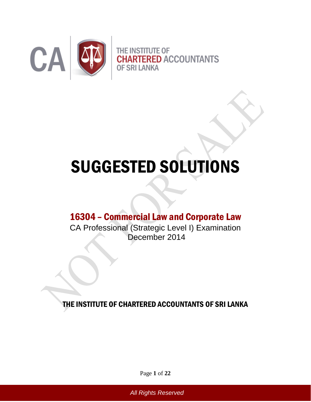

# SUGGESTED SOLUTIONS

# 16304 – Commercial Law and Corporate Law

CA Professional (Strategic Level I) Examination December 2014

THE INSTITUTE OF CHARTERED ACCOUNTANTS OF SRI LANKA

Page **1** of **22**

*All Rights Reserved*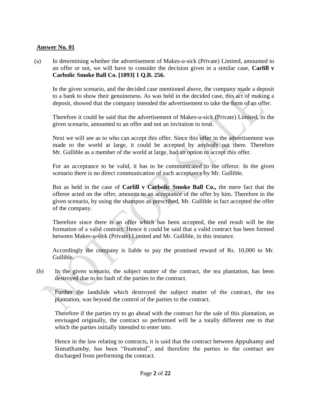(a) In determining whether the advertisement of Makes-u-sick (Private) Limited, amounted to an offer or not, we will have to consider the decision given in a similar case, **Carlill v Carbolic Smoke Ball Co. [1893] 1 Q.B. 256.** 

In the given scenario, and the decided case mentioned above, the company made a deposit to a bank to show their genuineness. As was held in the decided case, this act of making a deposit, showed that the company intended the advertisement to take the form of an offer.

Therefore it could be said that the advertisement of Makes-u-sick (Private) Limited, in the given scenario, amounted to an offer and not an invitation to treat.

Next we will see as to who can accept this offer. Since this offer in the advertisement was made to the world at large, it could be accepted by anybody out there. Therefore Mr. Gullible as a member of the world at large, had an option to accept this offer.

For an acceptance to be valid, it has to be communicated to the offeror. In the given scenario there is no direct communication of such acceptance by Mr. Gullible.

But as held in the case of **Carlill v Carbolic Smoke Ball Co.,** the mere fact that the offeree acted on the offer, amounts to an acceptance of the offer by him. Therefore in the given scenario, by using the shampoo as prescribed, Mr. Gullible in fact accepted the offer of the company.

Therefore since there is an offer which has been accepted, the end result will be the formation of a valid contract. Hence it could be said that a valid contract has been formed between Makes-u-sick (Private) Limited and Mr. Gullible, in this instance.

Accordingly the company is liable to pay the promised reward of Rs. 10,000 to Mr. Gullible.

(b) In the given scenario, the subject matter of the contract, the tea plantation, has been destroyed due to no fault of the parties to the contract.

Further the landslide which destroyed the subject matter of the contract, the tea plantation, was beyond the control of the parties to the contract.

Therefore if the parties try to go ahead with the contract for the sale of this plantation, as envisaged originally, the contract so performed will be a totally different one to that which the parties initially intended to enter into.

Hence in the law relating to contracts, it is said that the contract between Appuhamy and Sinnathamby, has been "frustrated", and therefore the parties to the contract are discharged from performing the contract.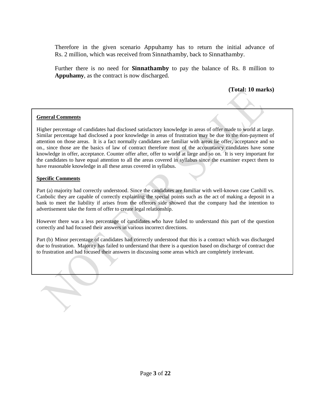Therefore in the given scenario Appuhamy has to return the initial advance of Rs. 2 million, which was received from Sinnathamby, back to Sinnathamby.

Further there is no need for **Sinnathamby** to pay the balance of Rs. 8 million to **Appuhamy**, as the contract is now discharged.

# **(Total: 10 marks)**

#### **General Comments**

Higher percentage of candidates had disclosed satisfactory knowledge in areas of offer made to world at large. Similar percentage had disclosed a poor knowledge in areas of frustration may be due to the non-payment of attention on those areas. It is a fact normally candidates are familiar with areas lie offer, acceptance and so on., since those are the basics of law of contract therefore most of the accountancy candidates have some knowledge in offer, acceptance. Counter offer after, offer to world at large and so on. It is very important for the candidates to have equal attention to all the areas covered in syllabus since the examiner expect them to have reasonable knowledge in all these areas covered in syllabus.

#### **Specific Comments**

Part (a) majority had correctly understood. Since the candidates are familiar with well-known case Canhill vs. Canbolic they are capable of correctly explaining the special points such as the act of making a deposit in a bank to meet the liability if arises from the offerors side showed that the company had the intention to advertisement take the form of offer to create legal relationship.

However there was a less percentage of candidates who have failed to understand this part of the question correctly and had focused their answers in various incorrect directions.

Part (b) Minor percentage of candidates had correctly understood that this is a contract which was discharged due to frustration. Majority has failed to understand that there is a question based on discharge of contract due to frustration and had focused their answers in discussing some areas which are completely irrelevant.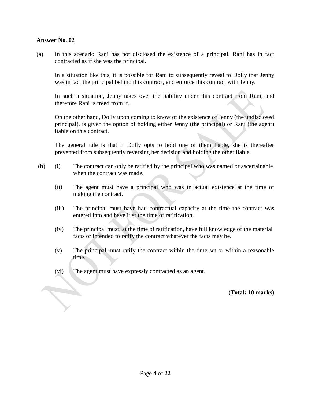(a) In this scenario Rani has not disclosed the existence of a principal. Rani has in fact contracted as if she was the principal.

In a situation like this, it is possible for Rani to subsequently reveal to Dolly that Jenny was in fact the principal behind this contract, and enforce this contract with Jenny.

In such a situation, Jenny takes over the liability under this contract from Rani, and therefore Rani is freed from it.

On the other hand, Dolly upon coming to know of the existence of Jenny (the undisclosed principal), is given the option of holding either Jenny (the principal) or Rani (the agent) liable on this contract.

The general rule is that if Dolly opts to hold one of them liable, she is thereafter prevented from subsequently reversing her decision and holding the other liable.

- (b) (i) The contract can only be ratified by the principal who was named or ascertainable when the contract was made.
	- (ii) The agent must have a principal who was in actual existence at the time of making the contract.
	- (iii) The principal must have had contractual capacity at the time the contract was entered into and have it at the time of ratification.
	- (iv) The principal must, at the time of ratification, have full knowledge of the material facts or intended to ratify the contract whatever the facts may be.
	- (v) The principal must ratify the contract within the time set or within a reasonable time.
	- (vi) The agent must have expressly contracted as an agent.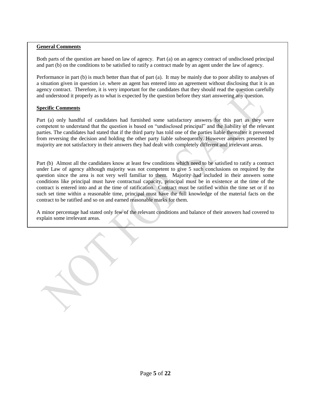Both parts of the question are based on law of agency. Part (a) on an agency contract of undisclosed principal and part (b) on the conditions to be satisfied to ratify a contract made by an agent under the law of agency.

Performance in part (b) is much better than that of part (a). It may be mainly due to poor ability to analyses of a situation given in question i.e. where an agent has entered into an agreement without disclosing that it is an agency contract. Therefore, it is very important for the candidates that they should read the question carefully and understood it properly as to what is expected by the question before they start answering any question.

#### **Specific Comments**

Part (a) only handful of candidates had furnished some satisfactory answers for this part as they were competent to understand that the question is based on "undisclosed principal" and the liability of the relevant parties. The candidates had stated that if the third party has told one of the parties liable thereafter it prevented from reversing the decision and holding the other party liable subsequently. However answers presented by majority are not satisfactory in their answers they had dealt with completely different and irrelevant areas.

Part (b) Almost all the candidates know at least few conditions which need to be satisfied to ratify a contract under Law of agency although majority was not competent to give 5 such conclusions on required by the question since the area is not very well familiar to them. Majority had included in their answers some conditions like principal must have contractual capacity, principal must be in existence at the time of the contract is entered into and at the time of ratification. Contract must be ratified within the time set or if no such set time within a reasonable time, principal must have the full knowledge of the material facts on the contract to be ratified and so on and earned reasonable marks for them.

A minor percentage had stated only few of the relevant conditions and balance of their answers had covered to explain some irrelevant areas.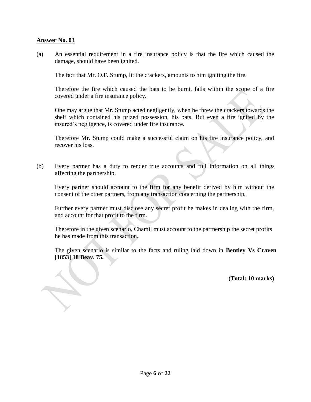(a) An essential requirement in a fire insurance policy is that the fire which caused the damage, should have been ignited.

The fact that Mr. O.F. Stump, lit the crackers, amounts to him igniting the fire.

Therefore the fire which caused the bats to be burnt, falls within the scope of a fire covered under a fire insurance policy.

One may argue that Mr. Stump acted negligently, when he threw the crackers towards the shelf which contained his prized possession, his bats. But even a fire ignited by the insured's negligence, is covered under fire insurance.

Therefore Mr. Stump could make a successful claim on his fire insurance policy, and recover his loss.

(b) Every partner has a duty to render true accounts and full information on all things affecting the partnership.

Every partner should account to the firm for any benefit derived by him without the consent of the other partners, from any transaction concerning the partnership.

Further every partner must disclose any secret profit he makes in dealing with the firm, and account for that profit to the firm.

Therefore in the given scenario, Chamil must account to the partnership the secret profits he has made from this transaction.

The given scenario is similar to the facts and ruling laid down in **Bentley Vs Craven [1853] 18 Beav. 75.**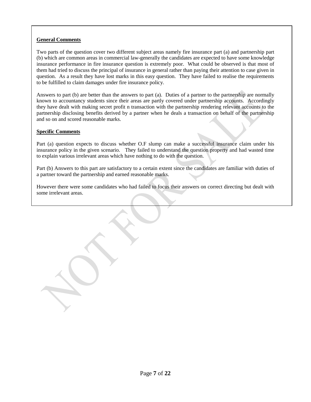Two parts of the question cover two different subject areas namely fire insurance part (a) and partnership part (b) which are common areas in commercial law-generally the candidates are expected to have some knowledge insurance performance in fire insurance question is extremely poor. What could be observed is that most of them had tried to discuss the principal of insurance in general rather than paying their attention to case given in question. As a result they have lost marks in this easy question. They have failed to realise the requirements to be fulfilled to claim damages under fire insurance policy.

Answers to part (b) are better than the answers to part (a). Duties of a partner to the partnership are normally known to accountancy students since their areas are partly covered under partnership accounts. Accordingly they have dealt with making secret profit n transaction with the partnership rendering relevant accounts to the partnership disclosing benefits derived by a partner when he deals a transaction on behalf of the partnership and so on and scored reasonable marks.

#### **Specific Comments**

Part (a) question expects to discuss whether O.F slump can make a successful insurance claim under his insurance policy in the given scenario. They failed to understand the question property and had wasted time to explain various irrelevant areas which have nothing to do with the question.

Part (b) Answers to this part are satisfactory to a certain extent since the candidates are familiar with duties of a partner toward the partnership and earned reasonable marks.

However there were some candidates who had failed to focus their answers on correct directing but dealt with some irrelevant areas.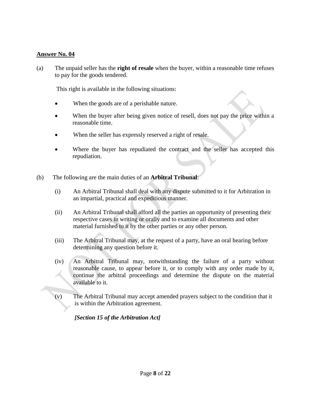(a) The unpaid seller has the **right of resale** when the buyer, within a reasonable time refuses to pay for the goods tendered.

This right is available in the following situations:

- When the goods are of a perishable nature.
- When the buyer after being given notice of resell, does not pay the price within a reasonable time.
- When the seller has expressly reserved a right of resale.
- Where the buyer has repudiated the contract and the seller has accepted this repudiation.
- (b) The following are the main duties of an **Arbitral Tribunal**:
	- (i) An Arbitral Tribunal shall deal with any dispute submitted to it for Arbitration in an impartial, practical and expeditious manner.
	- (ii) An Arbitral Tribunal shall afford all the parties an opportunity of presenting their respective cases in writing or orally and to examine all documents and other material furnished to it by the other parties or any other person.
	- (iii) The Arbitral Tribunal may, at the request of a party, have an oral hearing before determining any question before it.
	- (iv) An Arbitral Tribunal may, notwithstanding the failure of a party without reasonable cause, to appear before it, or to comply with any order made by it, continue the arbitral proceedings and determine the dispute on the material available to it.
	- (v) The Arbitral Tribunal may accept amended prayers subject to the condition that it is within the Arbitration agreement.

 *[Section 15 of the Arbitration Act]*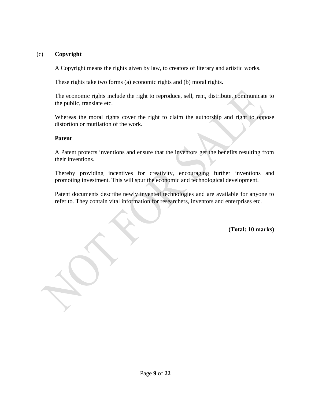# (c) **Copyright**

A Copyright means the rights given by law, to creators of literary and artistic works.

These rights take two forms (a) economic rights and (b) moral rights.

The economic rights include the right to reproduce, sell, rent, distribute, communicate to the public, translate etc.

Whereas the moral rights cover the right to claim the authorship and right to oppose distortion or mutilation of the work.

# **Patent**

A Patent protects inventions and ensure that the inventors get the benefits resulting from their inventions.

Thereby providing incentives for creativity, encouraging further inventions and promoting investment. This will spur the economic and technological development.

Patent documents describe newly invented technologies and are available for anyone to refer to. They contain vital information for researchers, inventors and enterprises etc.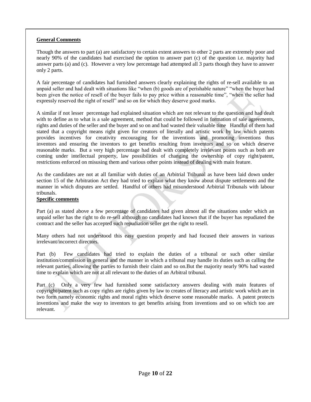Though the answers to part (a) are satisfactory to certain extent answers to other 2 parts are extremely poor and nearly 90% of the candidates had exercised the option to answer part (c) of the question i.e. majority had answer parts (a) and (c). However a very low percentage had attempted all 3 parts though they have to answer only 2 parts.

A fair percentage of candidates had furnished answers clearly explaining the rights of re-sell available to an unpaid seller and had dealt with situations like "when (b) goods are of perishable nature" "when the buyer had been given the notice of resell of the buyer fails to pay price within a reasonable time", "when the seller had expressly reserved the right of resell" and so on for which they deserve good marks.

A similar if not lesser percentage had explained situation which are not relevant to the question and had dealt with to define as to what is a sale agreement, method that could be followed in formation of sale agreements, rights and duties of the seller and the buyer and so on and had wasted their valuable time Handful of them had stated that a copyright means right given for creators of literally and artistic work by law which patents provides incentives for creativity encouraging for the inventions and promoting inventions thus inventors and ensuring the inventors to get benefits resulting from inventors and so on which deserve reasonable marks. But a very high percentage had dealt with completely irrelevant points such as both are coming under intellectual property, law possibilities of changing the ownership of copy right/patent, restrictions enforced on misusing them and various other points instead of dealing with main feature.

As the candidates are not at all familiar with duties of an Arbitrial Tribunal as have been laid down under section 15 of the Arbitration Act they had tried to explain what they know about dispute settlements and the manner in which disputes are settled. Handful of others had misunderstood Arbitrial Tribunals with labour tribunals.

#### **Specific comments**

Part (a) as stated above a few percentage of candidates had given almost all the situations under which an unpaid seller has the right to do re-sell although no candidates had known that if the buyer has repudiated the contract and the seller has accepted such repudiation seller get the right to resell.

Many others had not understood this easy question properly and had focused their answers in various irrelevant/incorrect directors.

Part (b) Few candidates had tried to explain the duties of a tribunal or such other similar institution/commission in general and the manner in which a tribunal may handle its duties such as calling the relevant parties, allowing the parties to furnish their claim and so on.But the majority nearly 90% had wasted time to explain which are not at all relevant to the duties of an Arbitral tribunal.

Part (c) Only a very few had furnished some satisfactory answers dealing with main features of copyright/patent such as copy rights are rights given by law to creates of literacy and artistic work which are in two form namely economic rights and moral rights which deserve some reasonable marks. A patent protects inventions and make the way to inventors to get benefits arising from inventions and so on which too are relevant.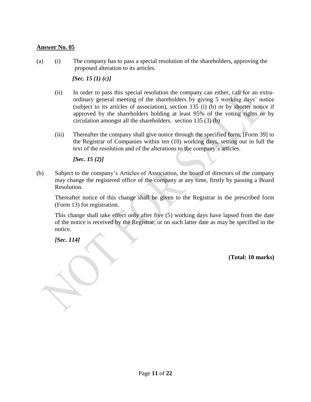(a) (i) The company has to pass a special resolution of the shareholders, approving the proposed alteration to its articles.

 *[Sec. 15 (1) (c)]*

- (ii) In order to pass this special resolution the company can either, call for an extraordinary general meeting of the shareholders by giving 5 working days' notice (subject to its articles of association), section 135 (i) (b) or by shorter notice if approved by the shareholders holding at least 95% of the voting rights or by circulation amongst all the shareholders. section 135 (3) (b)
- (iii) Thereafter the company shall give notice through the specified form, [Form 39] to the Registrar of Companies within ten (10) working days, setting out in full the text of the resolution and of the alterations to the company's articles.

 *[Sec. 15 (2)]*

(b) Subject to the company's Articles of Association, the board of directors of the company may change the registered office of the company at any time, firstly by passing a Board Resolution.

Thereafter notice of this change shall be given to the Registrar in the prescribed form (Form 13) for registration.

This change shall take effect only after five (5) working days have lapsed from the date of the notice is received by the Registrar, or on such latter date as may be specified in the notice.

*[Sec. 114]*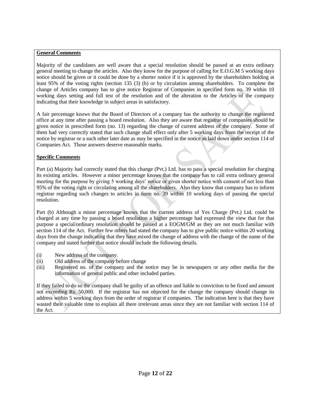Majority of the candidates are well aware that a special resolution should be passed at an extra ordinary general meeting to change the articles. Also they know for the purpose of calling for E.O.G.M 5 working days notice should be given or it could be done by a shorter notice if it is approved by the shareholders holding at least 95% of the voting rights (section 135 (3) (b) or by circulation among shareholders. To complete the change of Articles company has to give notice Registrar of Companies in specified form no. 39 within 10 working days setting and full test of the resolution and of the alteration to the Articles of the company indicating that their knowledge in subject areas in satisfactory.

A fair percentage knows that the Board of Directors of a company has the authority to change the registered office at any time after passing a board resolution. Also they are aware that registrar of companies should be given notice in prescribed form (no. 13) regarding the change of current address of the company. Some of them had very correctly stated that such change shall effect only after 5 working days from the receipt of the notice by registrar or a such other later date as may be specified in the notice as laid down under section 114 of Companies Act. Those answers deserve reasonable marks.

#### **Specific Comments**

Part (a) Majority had correctly stated that this change (Pvt.) Ltd. has to pass a special resolution for charging its existing articles. However a minor percentage knows that the company has to call extra ordinary general meeting for the purpose by giving 5 working days' notice or given shorter notice with consent of not less than 95% of the voting right or circulating among all the shareholders. Also they know that company has to inform registrar regarding such changes to articles in form no. 39 within 10 working days of passing the special resolution.

Part (b) Although a minor percentage knows that the current address of Yes Charge (Pvt.) Ltd. could be charged at any time by passing a board resolution a higher percentage had expressed the view that for that purpose a special/ordinary resolution should be passed at a EOGM/GM as they are not much familiar with section 114 of the Act. Further few others had stated the company has to give public notice within 20 working days from the change indicating that they have mixed the change of address with the change of the name of the company and stated further that notice should include the following details.

- (i) New address of the company.
- (ii) Old address of the company before change
- (iii) Registered no. of the company and the notice may be in newspapers or any other media for the information of general public and other included parties.

If they failed to do so the company shall be guilty of an offence and liable to conviction to be fixed and amount not exceeding Rs. 50,000. If the registrar has not objected for the change the company should change its address within 5 working days from the order of registrar if companies. The indication here is that they have wasted their valuable time to explain all there irrelevant areas since they are not familiar with section 114 of the Act.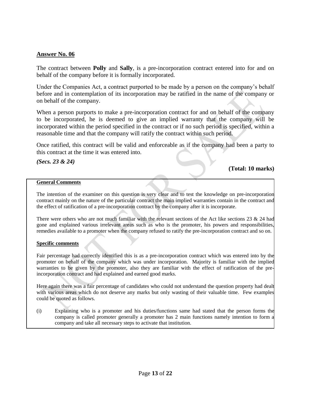The contract between **Polly** and **Sally**, is a pre-incorporation contract entered into for and on behalf of the company before it is formally incorporated.

Under the Companies Act, a contract purported to be made by a person on the company's behalf before and in contemplation of its incorporation may be ratified in the name of the company or on behalf of the company.

When a person purports to make a pre-incorporation contract for and on behalf of the company to be incorporated, he is deemed to give an implied warranty that the company will be incorporated within the period specified in the contract or if no such period is specified, within a reasonable time and that the company will ratify the contract within such period.

Once ratified, this contract will be valid and enforceable as if the company had been a party to this contract at the time it was entered into.

*(Secs. 23 & 24)*

**(Total: 10 marks)**

#### **General Comments**

The intention of the examiner on this question is very clear and to test the knowledge on pre-incorporation contract mainly on the nature of the particular contract the main implied warranties contain in the contract and the effect of ratification of a pre-incorporation contract by the company after it is incorporate.

There were others who are not much familiar with the relevant sections of the Act like sections 23  $\&$  24 had gone and explained various irrelevant areas such as who is the promoter, his powers and responsibilities, remedies available to a promoter when the company refused to ratify the pre-incorporation contract and so on.

#### **Specific comments**

Fair percentage had correctly identified this is as a pre-incorporation contract which was entered into by the promoter on behalf of the company which was under incorporation. Majority is familiar with the implied warranties to be given by the promoter, also they are familiar with the effect of ratification of the preincorporation contract and had explained and earned good marks.

Here again there was a fair percentage of candidates who could not understand the question property had dealt with various areas which do not deserve any marks but only wasting of their valuable time. Few examples could be quoted as follows.

(i) Explaining who is a promoter and his duties/functions same had stated that the person forms the company is called promoter generally a promoter has 2 main functions namely intention to form a company and take all necessary steps to activate that institution.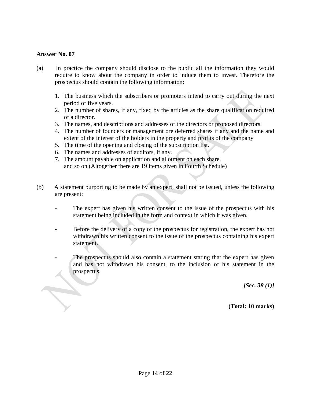$\overline{\phantom{0}}$ 

- (a) In practice the company should disclose to the public all the information they would require to know about the company in order to induce them to invest. Therefore the prospectus should contain the following information:
	- 1. The business which the subscribers or promoters intend to carry out during the next period of five years.
	- 2. The number of shares, if any, fixed by the articles as the share qualification required of a director.
	- 3. The names, and descriptions and addresses of the directors or proposed directors.
	- 4. The number of founders or management ore deferred shares if any and the name and extent of the interest of the holders in the property and profits of the company
	- 5. The time of the opening and closing of the subscription list.
	- 6. The names and addresses of auditors, if any.
	- 7. The amount payable on application and allotment on each share. and so on (Altogether there are 19 items given in Fourth Schedule)
- (b) A statement purporting to be made by an expert, shall not be issued, unless the following are present:
	- The expert has given his written consent to the issue of the prospectus with his statement being included in the form and context in which it was given.
	- Before the delivery of a copy of the prospectus for registration, the expert has not withdrawn his written consent to the issue of the prospectus containing his expert statement.
	- The prospectus should also contain a statement stating that the expert has given and has not withdrawn his consent, to the inclusion of his statement in the prospectus.

*[Sec. 38 (1)]*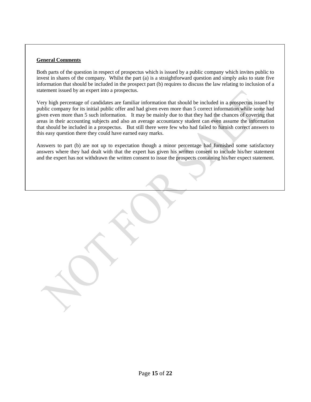Both parts of the question in respect of prospectus which is issued by a public company which invites public to invest in shares of the company. Whilst the part (a) is a straightforward question and simply asks to state five information that should be included in the prospect part (b) requires to discuss the law relating to inclusion of a statement issued by an expert into a prospectus.

Very high percentage of candidates are familiar information that should be included in a prospectus issued by public company for its initial public offer and had given even more than 5 correct information while some had given even more than 5 such information. It may be mainly due to that they had the chances of covering that areas in their accounting subjects and also an average accountancy student can even assume the information that should be included in a prospectus. But still there were few who had failed to furnish correct answers to this easy question there they could have earned easy marks.

Answers to part (b) are not up to expectation though a minor percentage had furnished some satisfactory answers where they had dealt with that the expert has given his written consent to include his/her statement and the expert has not withdrawn the written consent to issue the prospects containing his/her expect statement.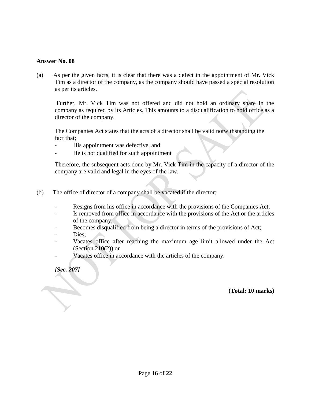(a) As per the given facts, it is clear that there was a defect in the appointment of Mr. Vick Tim as a director of the company, as the company should have passed a special resolution as per its articles.

 Further, Mr. Vick Tim was not offered and did not hold an ordinary share in the company as required by its Articles. This amounts to a disqualification to hold office as a director of the company.

The Companies Act states that the acts of a director shall be valid notwithstanding the fact that;

- His appointment was defective, and
- He is not qualified for such appointment

Therefore, the subsequent acts done by Mr. Vick Tim in the capacity of a director of the company are valid and legal in the eyes of the law.

- (b) The office of director of a company shall be vacated if the director;
	- Resigns from his office in accordance with the provisions of the Companies Act;
	- Is removed from office in accordance with the provisions of the Act or the articles of the company;
	- Becomes disqualified from being a director in terms of the provisions of Act;
	- Dies:
	- Vacates office after reaching the maximum age limit allowed under the Act (Section  $210(2)$ ) or
	- Vacates office in accordance with the articles of the company.

*[Sec. 207]*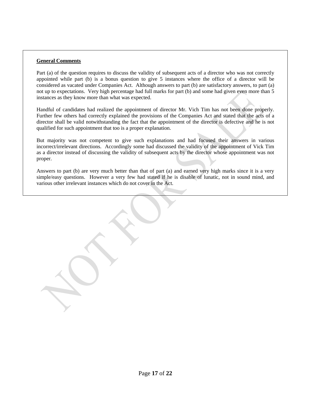Part (a) of the question requires to discuss the validity of subsequent acts of a director who was not correctly appointed while part (b) is a bonus question to give 5 instances where the office of a director will be considered as vacated under Companies Act. Although answers to part (b) are satisfactory answers, to part (a) not up to expectations. Very high percentage had full marks for part (b) and some had given even more than 5 instances as they know more than what was expected.

Handful of candidates had realized the appointment of director Mr. Vich Tim has not been done properly. Further few others had correctly explained the provisions of the Companies Act and stated that the acts of a director shall be valid notwithstanding the fact that the appointment of the director is defective and he is not qualified for such appointment that too is a proper explanation.

But majority was not competent to give such explanations and had focused their answers in various incorrect/irrelevant directions. Accordingly some had discussed the validity of the appointment of Vick Tim as a director instead of discussing the validity of subsequent acts by the director whose appointment was not proper.

Answers to part (b) are very much better than that of part (a) and earned very high marks since it is a very simple/easy questions. However a very few had stated if he is disable of lunatic, not in sound mind, and various other irrelevant instances which do not cover in the Act.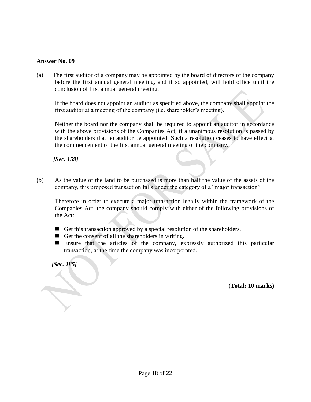(a) The first auditor of a company may be appointed by the board of directors of the company before the first annual general meeting, and if so appointed, will hold office until the conclusion of first annual general meeting.

 If the board does not appoint an auditor as specified above, the company shall appoint the first auditor at a meeting of the company (i.e. shareholder's meeting).

 Neither the board nor the company shall be required to appoint an auditor in accordance with the above provisions of the Companies Act, if a unanimous resolution is passed by the shareholders that no auditor be appointed. Such a resolution ceases to have effect at the commencement of the first annual general meeting of the company.

 *[Sec. 159]* 

(b) As the value of the land to be purchased is more than half the value of the assets of the company, this proposed transaction falls under the category of a "major transaction".

Therefore in order to execute a major transaction legally within the framework of the Companies Act, the company should comply with either of the following provisions of the Act:

- Get this transaction approved by a special resolution of the shareholders.
- Get the consent of all the shareholders in writing.
- Ensure that the articles of the company, expressly authorized this particular transaction, at the time the company was incorporated.

 *[Sec. 185]*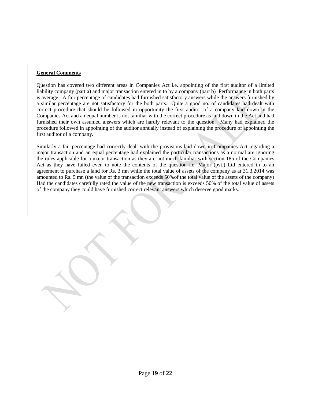Question has covered two different areas in Companies Act i.e. appointing of the first auditor of a limited liability company (part a) and major transaction entered in to by a company (part b) Performance in both parts is average. A fair percentage of candidates had furnished satisfactory answers while the answers furnished by a similar percentage are not satisfactory for the both parts. Quite a good no. of candidates had dealt with correct procedure that should be followed in opportunity the first auditor of a company laid down in the Companies Act and an equal number is not familiar with the correct procedure as laid down in the Act and had furnished their own assumed answers which are hardly relevant to the question. Many had explained the procedure followed in appointing of the auditor annually instead of explaining the procedure of appointing the first auditor of a company.

Similarly a fair percentage had correctly dealt with the provisions laid down in Companies Act regarding a major transaction and an equal percentage had explained the particular transactions as a normal are ignoring the rules applicable for a major transaction as they are not much familiar with section 185 of the Companies Act as they have failed even to note the contents of the question i.e. Major (pvt.) Ltd entered in to an agreement to purchase a land for Rs. 3 mn while the total value of assets of the company as at 31.3.2014 was amounted to Rs. 5 mn (the value of the transaction exceeds 50%of the total value of the assets of the company) Had the candidates carefully rated the value of the new transaction is exceeds 50% of the total value of assets of the company they could have furnished correct relevant answers which deserve good marks.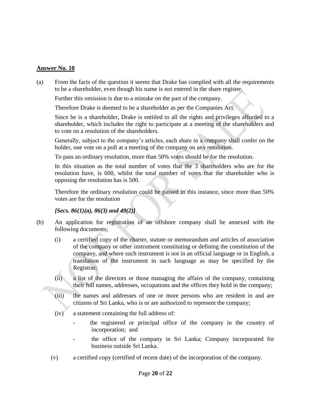(a) From the facts of the question it seems that Drake has complied with all the requirements to be a shareholder, even though his name is not entered in the share register.

Further this omission is due to a mistake on the part of the company.

Therefore Drake is deemed to be a shareholder as per the Companies Act.

Since he is a shareholder, Drake is entitled to all the rights and privileges afforded to a shareholder, which includes the right to participate at a meeting of the shareholders and to vote on a resolution of the shareholders.

Generally, subject to the company's articles, each share in a company shall confer on the holder, one vote on a poll at a meeting of the company on any resolution.

To pass an ordinary resolution, more than 50% votes should be for the resolution.

In this situation as the total number of votes that the 3 shareholders who are for the resolution have, is 600, whilst the total number of votes that the shareholder who is opposing the resolution has is 500.

Therefore the ordinary resolution could be passed in this instance, since more than 50% votes are for the resolution

*[Secs. 86(1)(a), 86(3) and 49(2)]*

- (b) An application for registration of an offshore company shall be annexed with the following documents;
	- (i) a certified copy of the charter, statute or memorandum and articles of association of the company or other instrument constituting or defining the constitution of the company, and where such instrument is not in an official language or in English, a translation of the instrument in such language as may be specified by the Registrar;
	- (ii) a list of the directors or those managing the affairs of the company, containing their full names, addresses, occupations and the offices they hold in the company;
	- (iii) the names and addresses of one or more persons who are resident in and are citizens of Sri Lanka, who is or are authorized to represent the company;
	- (iv) a statement containing the full address of:
		- the registered or principal office of the company in the country of incorporation; and
		- the office of the company in Sri Lanka; Company incorporated for business outside Sri Lanka.
	- (v) a certified copy (certified of recent date) of the incorporation of the company.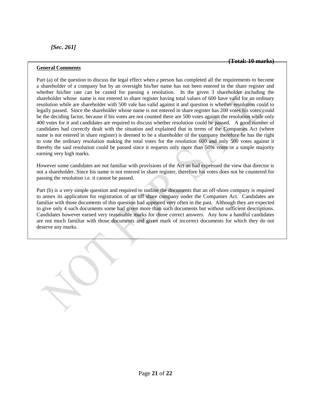#### **(Total: 10 marks)**

#### **General Comments**

Part (a) of the question to discuss the legal effect when a person has completed all the requirements to become a shareholder of a company but by an oversight his/her name has not been entered in the share register and whether his/her rate can be casted for passing a resolution. In the given 3 shareholder including the shareholder whose name is not entered in share register having total values of 600 have valid for an ordinary resolution while are shareholder with 500 vale has valid against it and question is whether resolution could to legally passed. Since the shareholder whose name is not entered in share register has 200 votes his votes could be the deciding factor, because if his votes are not counted there are 500 votes against the resolution while only 400 votes for it and candidates are required to discuss whether resolution could be passed. A good number of candidates had correctly dealt with the situation and explained that in terms of the Companies Act (where name is not entered in share register) is deemed to be a shareholder of the company therefore he has the right to vote the ordinary resolution making the total votes for the resolution 600 and only 500 votes against it thereby the said resolution could be passed since it requests only more than 50% votes or a simple majority earning very high marks.

However some candidates are not familiar with provisions of the Act an had expressed the view that director is not a shareholder. Since his name is not entered in share register, therefore his votes does not be countered for passing the resolution i.e. it cannot be passed.

Part (b) is a very simple question and required to outline the documents that an off-shore company is required to annex its application for registration of an off share company under the Companies Act. Candidates are familiar with those documents of this question had appeared very often in the past. Although they are expected to give only 4 such documents some had given more than such documents but without sufficient descriptions. Candidates however earned very reasonable marks for those correct answers. Any how a handful candidates are not much familiar with those documents and given mark of incorrect documents for which they do not deserve any marks.